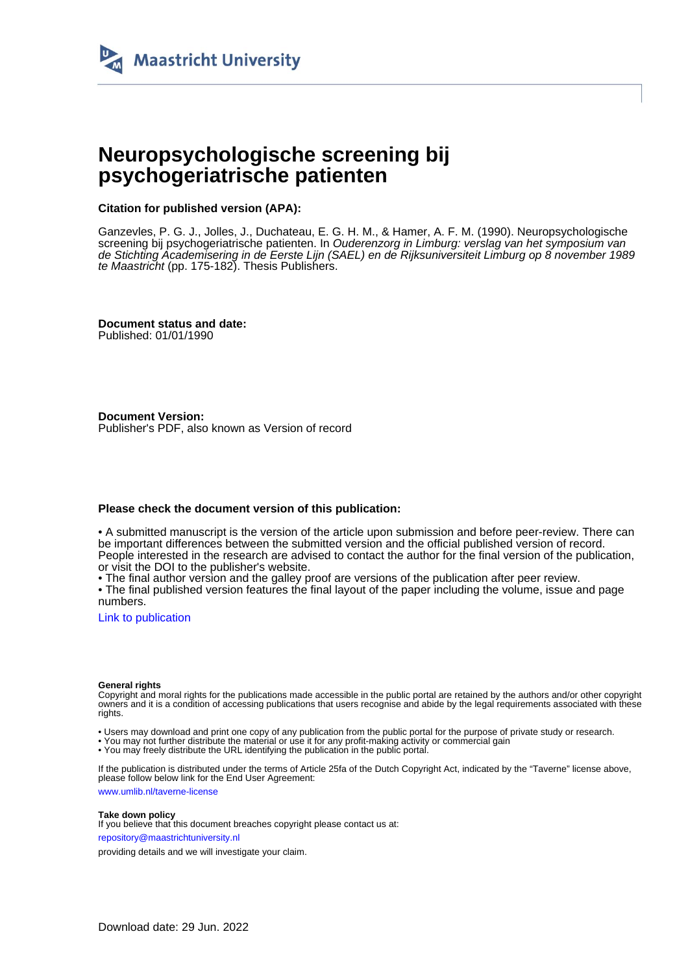

# **Neuropsychologische screening bij psychogeriatrische patienten**

# **Citation for published version (APA):**

Ganzevles, P. G. J., Jolles, J., Duchateau, E. G. H. M., & Hamer, A. F. M. (1990). Neuropsychologische screening bij psychogeriatrische patienten. In Ouderenzorg in Limburg: verslag van het symposium van de Stichting Academisering in de Eerste Lijn (SAEL) en de Rijksuniversiteit Limburg op 8 november 1989 te Maastricht (pp. 175-182). Thesis Publishers.

**Document status and date:** Published: 01/01/1990

**Document Version:** Publisher's PDF, also known as Version of record

## **Please check the document version of this publication:**

• A submitted manuscript is the version of the article upon submission and before peer-review. There can be important differences between the submitted version and the official published version of record. People interested in the research are advised to contact the author for the final version of the publication, or visit the DOI to the publisher's website.

• The final author version and the galley proof are versions of the publication after peer review.

• The final published version features the final layout of the paper including the volume, issue and page numbers.

[Link to publication](https://cris.maastrichtuniversity.nl/en/publications/b6490481-f802-49d9-96f4-4dc3ade20cf6)

#### **General rights**

Copyright and moral rights for the publications made accessible in the public portal are retained by the authors and/or other copyright owners and it is a condition of accessing publications that users recognise and abide by the legal requirements associated with these rights.

• Users may download and print one copy of any publication from the public portal for the purpose of private study or research.

• You may not further distribute the material or use it for any profit-making activity or commercial gain

• You may freely distribute the URL identifying the publication in the public portal.

If the publication is distributed under the terms of Article 25fa of the Dutch Copyright Act, indicated by the "Taverne" license above, please follow below link for the End User Agreement:

www.umlib.nl/taverne-license

#### **Take down policy**

If you believe that this document breaches copyright please contact us at: repository@maastrichtuniversity.nl

providing details and we will investigate your claim.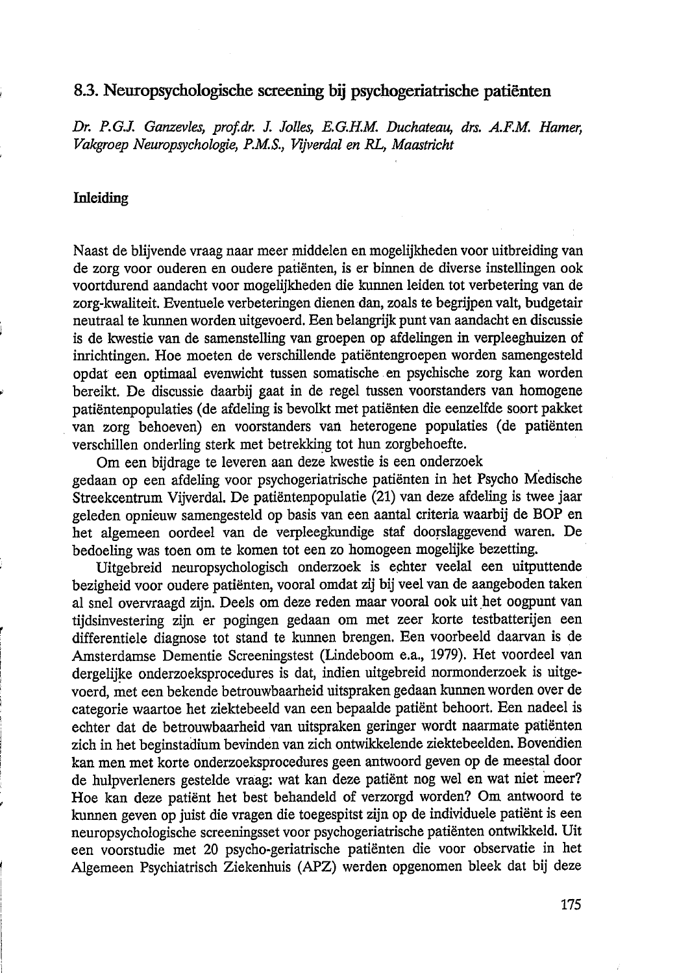# 8.3. Neuropsychologische screening bij psychogeriatrische patiënten

Dr. P.G.J. Ganzevles, prof.dr. J. Jolles, E.G.H.M. Duchateau, drs. A.F.M. Hamer, Vakgroep Neuropsychologie, P.M.S., Viiverdal en RL, Maastricht

# Inleiding

Naast de blijvende vraag naar meer middelen en mogelijkheden voor uitbreiding van de zorg voor ouderen en oudere patiënten, is er binnen de diverse instellingen ook voortdurend aandacht voor mogelijkheden die kunnen leiden tot verbetering van de zorg-kwaliteit. Eventuele verbeteringen dienen dan, zoals te begrijpen valt, budgetair neutraal te kunnen worden uitgevoerd. Een belangrijk punt van aandacht en discussie is de kwestie van de samenstelling van groepen op afdelingen in verpleeghuizen of inrichtingen. Hoe moeten de verschillende patiëntengroepen worden samengesteld opdat een optimaal evenwicht tussen somatische en psychische zorg kan worden bereikt. De discussie daarbij gaat in de regel tussen voorstanders van homogene patiëntenpopulaties (de afdeling is bevolkt met patiënten die eenzelfde soort pakket van zorg behoeven) en voorstanders van heterogene populaties (de patiënten verschillen onderling sterk met betrekking tot hun zorgbehoefte.

Om een bijdrage te leveren aan deze kwestie is een onderzoek gedaan op een afdeling voor psychogeriatrische patiënten in het Psycho Medische Streekcentrum Viiverdal. De patiëntenpopulatie (21) van deze afdeling is twee jaar geleden opnieuw samengesteld op basis van een aantal criteria waarbij de BOP en het algemeen oordeel van de verpleegkundige staf doorslaggevend waren. De bedoeling was toen om te komen tot een zo homogeen mogelijke bezetting.

Uitgebreid neuropsychologisch onderzoek is echter veelal een uitputtende bezigheid voor oudere patiënten, vooral omdat zij bij veel van de aangeboden taken al snel overvraagd zijn. Deels om deze reden maar vooral ook uit het oogpunt van tijdsinvestering zijn er pogingen gedaan om met zeer korte testbatterijen een differentiele diagnose tot stand te kunnen brengen. Een voorbeeld daarvan is de Amsterdamse Dementie Screeningstest (Lindeboom e.a., 1979). Het voordeel van dergelijke onderzoeksprocedures is dat, indien uitgebreid normonderzoek is uitgevoerd, met een bekende betrouwbaarheid uitspraken gedaan kunnen worden over de categorie waartoe het ziektebeeld van een bepaalde patiënt behoort. Een nadeel is echter dat de betrouwbaarheid van uitspraken geringer wordt naarmate patiënten zich in het beginstadium bevinden van zich ontwikkelende ziektebeelden. Bovendien kan men met korte onderzoeksprocedures geen antwoord geven op de meestal door de hulpverleners gestelde vraag: wat kan deze patiënt nog wel en wat niet meer? Hoe kan deze patiënt het best behandeld of verzorgd worden? Om antwoord te kunnen geven op juist die vragen die toegespitst zijn op de individuele patiënt is een neuropsychologische screeningsset voor psychogeriatrische patiënten ontwikkeld. Uit een voorstudie met 20 psycho-geriatrische patiënten die voor observatie in het Algemeen Psychiatrisch Ziekenhuis (APZ) werden opgenomen bleek dat bij deze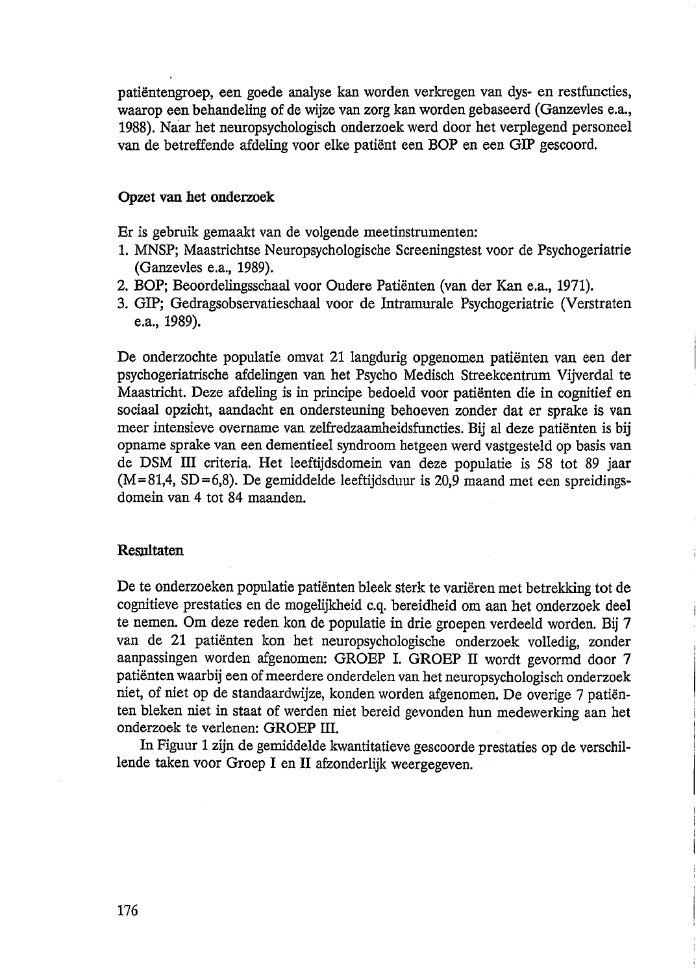patiëntengroep, een goede analyse kan worden verkregen van dys- en restfuncties, waarop een behandeling of de wijze van zorg kan worden gebaseerd (Ganzevles e.a., 1988). Naar het neuropsychologisch onderzoek werd door het verplegend personeel van de betreffende afdeling voor elke patiënt een BOP en een GIP gescoord.

## Opzet van het onderzoek

Er is gebruik gemaakt van de volgende meetinstrumenten:

- 1. MNSP; Maastrichtse Neuropsychologische Screeningstest voor de Psychogeriatrie (Ganzevles e.a., 1989).
- 2. BOP; Beoordelingsschaal voor Oudere Patiënten (van der Kan e.a., 1971).
- 3. GIP: Gedragsobservatieschaal voor de Intramurale Psychogeriatrie (Verstraten e.a., 1989).

De onderzochte populatie omvat 21 langdurig opgenomen patiënten van een der psychogeriatrische afdelingen van het Psycho Medisch Streekcentrum Vijverdal te Maastricht. Deze afdeling is in principe bedoeld voor patiënten die in cognitief en sociaal opzicht, aandacht en ondersteuning behoeven zonder dat er sprake is van meer intensieve overname van zelfredzaamheidsfuncties. Bij al deze patiënten is bij opname sprake van een dementieel syndroom hetgeen werd vastgesteld op basis van de DSM III criteria. Het leeftijdsdomein van deze populatie is 58 tot 89 jaar  $(M=81,4, SD=6,8)$ . De gemiddelde leeftijdsduur is 20.9 maand met een spreidingsdomein van 4 tot 84 maanden.

## Resultaten

De te onderzoeken populatie patiënten bleek sterk te variëren met betrekking tot de cognitieve prestaties en de mogelijkheid c.g. bereidheid om aan het onderzoek deel te nemen. Om deze reden kon de populatie in drie groepen verdeeld worden. Bij 7 van de 21 patiënten kon het neuropsychologische onderzoek volledig, zonder aanpassingen worden afgenomen: GROEP I. GROEP II wordt gevormd door 7 patiënten waarbij een of meerdere onderdelen van het neuropsychologisch onderzoek niet, of niet op de standaardwijze, konden worden afgenomen. De overige 7 patiënten bleken niet in staat of werden niet bereid gevonden hun medewerking aan het onderzoek te verlenen: GROEP III.

In Figuur 1 zijn de gemiddelde kwantitatieve gescoorde prestaties op de verschillende taken voor Groep I en II afzonderlijk weergegeven.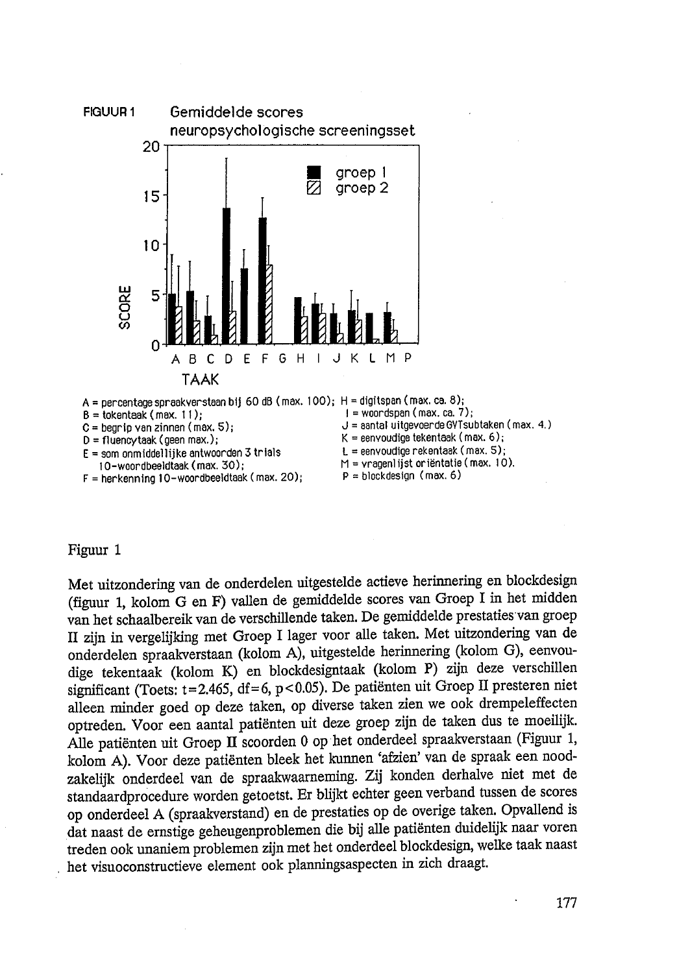

# Figuur 1

Met uitzondering van de onderdelen uitgestelde actieve herinnering en blockdesign (figuur 1, kolom G en F) vallen de gemiddelde scores van Groep I in het midden van het schaalbereik van de verschillende taken. De gemiddelde prestaties van groep II zijn in vergelijking met Groep I lager voor alle taken. Met uitzondering van de onderdelen spraakverstaan (kolom A), uitgestelde herinnering (kolom G), eenvoudige tekentaak (kolom K) en blockdesigntaak (kolom P) zijn deze verschillen significant (Toets: t=2.465, df=6, p<0.05). De patiënten uit Groep II presteren niet alleen minder goed op deze taken, op diverse taken zien we ook drempeleffecten optreden. Voor een aantal patiënten uit deze groep zijn de taken dus te moeilijk. Alle patiënten uit Groep II scoorden 0 op het onderdeel spraakverstaan (Figuur 1, kolom A). Voor deze patiënten bleek het kunnen 'afzien' van de spraak een noodzakelijk onderdeel van de spraakwaarneming. Zij konden derhalve niet met de standaardprocedure worden getoetst. Er blijkt echter geen verband tussen de scores op onderdeel A (spraakverstand) en de prestaties op de overige taken. Opvallend is dat naast de ernstige geheugenproblemen die bij alle patiënten duidelijk naar voren treden ook unaniem problemen zijn met het onderdeel blockdesign, welke taak naast het visuoconstructieve element ook planningsaspecten in zich draagt.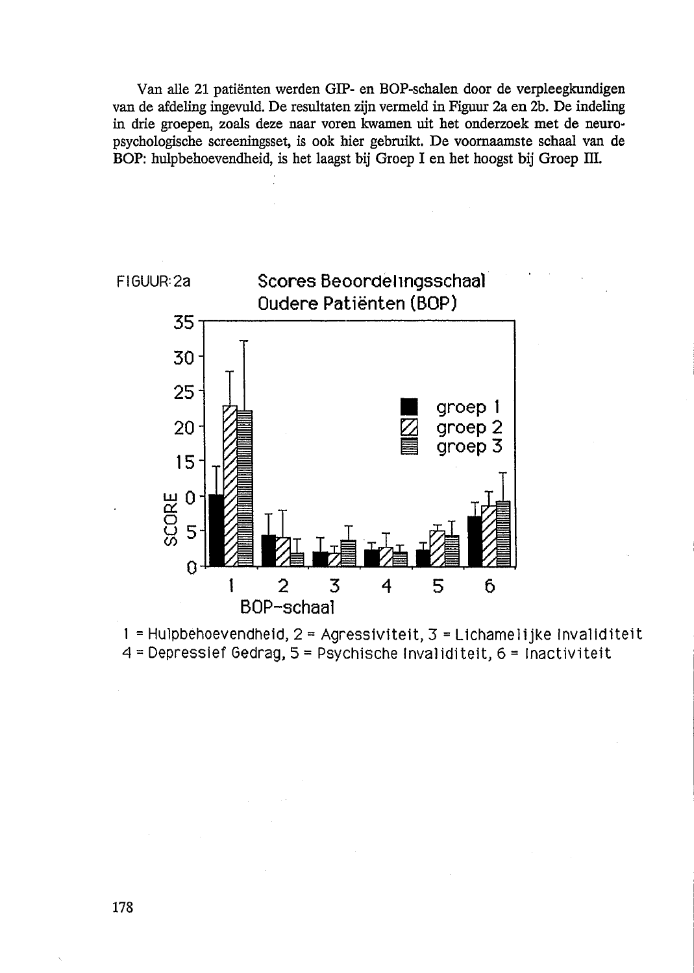Van alle 21 patiënten werden GIP- en BOP-schalen door de verpleegkundigen van de afdeling ingevuld. De resultaten zijn vermeld in Figuur 2a en 2b. De indeling in drie groepen, zoals deze naar voren kwamen uit het onderzoek met de neuropsychologische screeningsset, is ook hier gebruikt. De voornaamste schaal van de BOP: hulpbehoevendheid, is het laagst bij Groep I en het hoogst bij Groep III.



 $1$  = Hulpbehoevendheid,  $2$  = Agressiviteit,  $3$  = Lichamelijke Invaliditeit  $4$  = Depressief Gedrag, 5 = Psychische Invaliditeit, 6 = Inactiviteit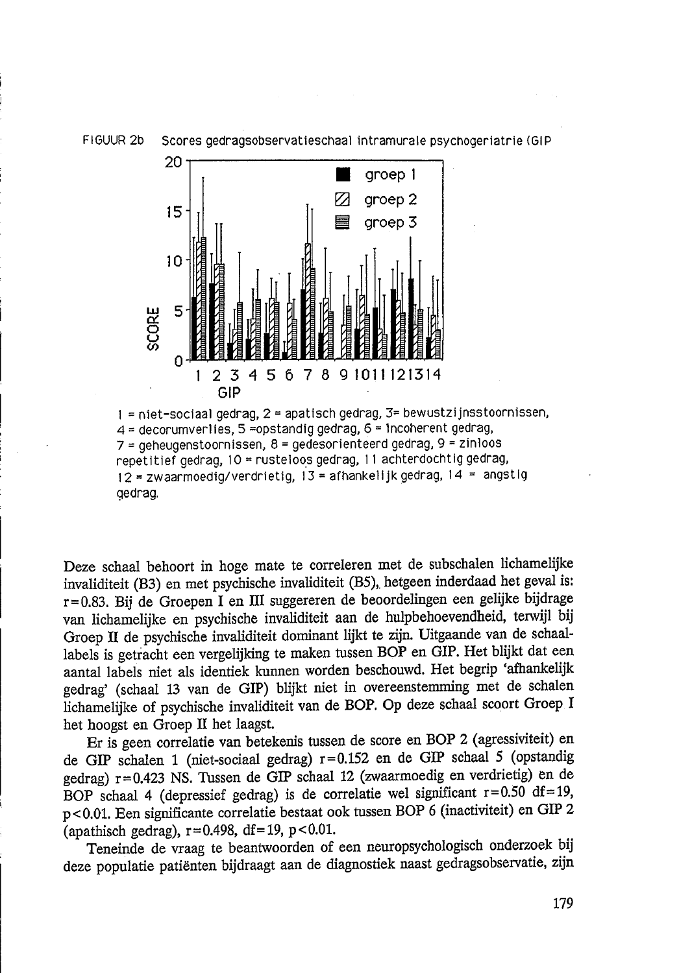



1 = niet-sociaal gedrag, 2 = apatisch gedrag, 3 = bewustzijnsstoornissen, 4 = decorumverlies, 5 = opstandig gedrag, 6 = incoherent gedrag,  $7$  = geheugenstoornissen,  $8$  = gedesorienteerd gedrag,  $9$  = zinloos repetitief gedrag, 10 = rusteloos gedrag, 11 achterdochtig gedrag,  $12$  = zwaarmoedig/verdrietig,  $13$  = afhankelijk gedrag,  $14$  = angstig gedrag.

Deze schaal behoort in hoge mate te correleren met de subschalen lichamelijke invaliditeit (B3) en met psychische invaliditeit (B5), hetgeen inderdaad het geval is:  $r = 0.83$ . Bij de Groepen I en III suggereren de beoordelingen een gelijke bijdrage van lichamelijke en psychische invaliditeit aan de hulpbehoevendheid, terwijl bij Groep II de psychische invaliditeit dominant lijkt te zijn. Uitgaande van de schaallabels is getracht een vergelijking te maken tussen BOP en GIP. Het blijkt dat een aantal labels niet als identiek kunnen worden beschouwd. Het begrip 'afhankelijk gedrag' (schaal 13 van de GIP) blijkt niet in overeenstemming met de schalen lichamelijke of psychische invaliditeit van de BOP. Op deze schaal scoort Groep I het hoogst en Groep II het laagst.

Er is geen correlatie van betekenis tussen de score en BOP 2 (agressiviteit) en de GIP schalen 1 (niet-sociaal gedrag) r=0.152 en de GIP schaal 5 (opstandig gedrag) r=0.423 NS. Tussen de GIP schaal 12 (zwaarmoedig en verdrietig) en de BOP schaal 4 (depressief gedrag) is de correlatie wel significant  $r=0.50$  df=19, p<0.01. Een significante correlatie bestaat ook tussen BOP 6 (inactiviteit) en GIP 2 (apathisch gedrag),  $r = 0.498$ , df = 19, p < 0.01.

Teneinde de vraag te beantwoorden of een neuropsychologisch onderzoek bij deze populatie patiënten bijdraagt aan de diagnostiek naast gedragsobservatie, zijn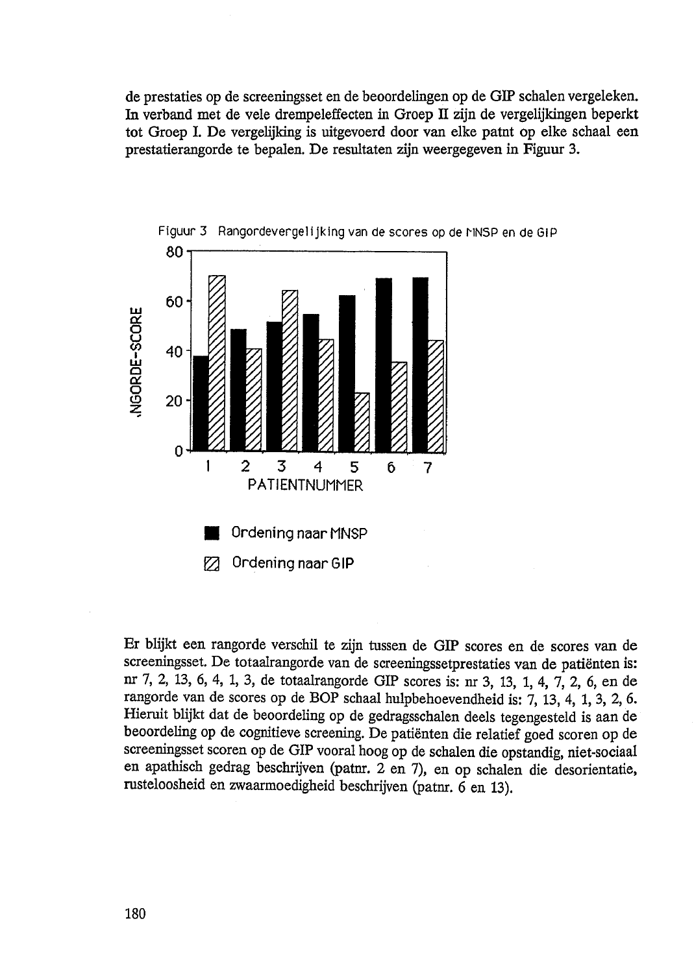de prestaties op de screeningsset en de beoordelingen op de GIP schalen vergeleken. In verband met de vele drempeleffecten in Groep II zijn de vergelijkingen beperkt tot Groep I. De vergelijking is uitgevoerd door van elke patnt op elke schaal een prestatierangorde te bepalen. De resultaten zijn weergegeven in Figuur 3.



Figuur 3 Rangordevergelijking van de scores op de MNSP en de GIP

Er blijkt een rangorde verschil te zijn tussen de GIP scores en de scores van de screeningsset. De totaalrangorde van de screeningssetprestaties van de patiënten is: nr 7, 2, 13, 6, 4, 1, 3, de totaalrangorde GIP scores is: nr 3, 13, 1, 4, 7, 2, 6, en de rangorde van de scores op de BOP schaal hulpbehoevendheid is: 7, 13, 4, 1, 3, 2, 6. Hieruit blijkt dat de beoordeling op de gedragsschalen deels tegengesteld is aan de beoordeling op de cognitieve screening. De patiënten die relatief goed scoren op de screeningsset scoren op de GIP vooral hoog op de schalen die opstandig, niet-sociaal en apathisch gedrag beschrijven (patnr. 2 en 7), en op schalen die desorientatie, rusteloosheid en zwaarmoedigheid beschrijven (patnr. 6 en 13).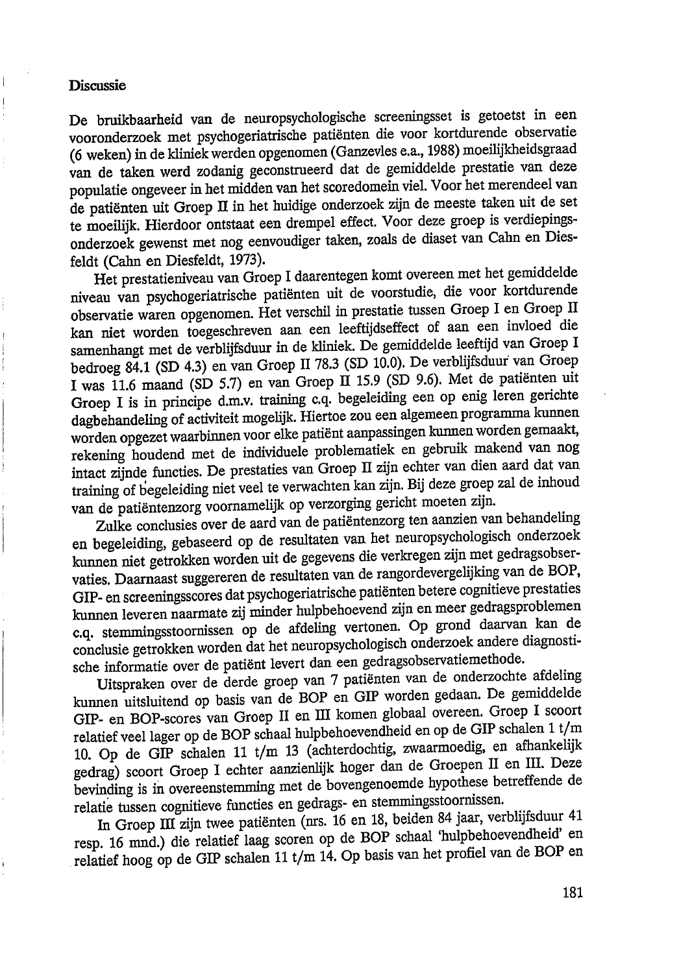### **Discussie**

De bruikbaarheid van de neuropsychologische screeningsset is getoetst in een vooronderzoek met psychogeriatrische patiënten die voor kortdurende observatie (6 weken) in de kliniek werden opgenomen (Ganzevles e.a., 1988) moeilijkheidsgraad van de taken werd zodanig geconstrueerd dat de gemiddelde prestatie van deze populatie ongeveer in het midden van het scoredomein viel. Voor het merendeel van de patiënten uit Groep II in het huidige onderzoek zijn de meeste taken uit de set te moeilijk. Hierdoor ontstaat een drempel effect. Voor deze groep is verdiepingsonderzoek gewenst met nog eenvoudiger taken, zoals de diaset van Cahn en Diesfeldt (Cahn en Diesfeldt. 1973).

Het prestatieniveau van Groep I daarentegen komt overeen met het gemiddelde niveau van psychogeriatrische patiënten uit de voorstudie, die voor kortdurende observatie waren opgenomen. Het verschil in prestatie tussen Groep I en Groep II kan niet worden toegeschreven aan een leeftijdseffect of aan een invloed die samenhangt met de verblijfsduur in de kliniek. De gemiddelde leeftijd van Groep I bedroeg 84.1 (SD 4.3) en van Groep II 78.3 (SD 10.0). De verblijfsduur van Groep I was 11.6 maand (SD 5.7) en van Groep II 15.9 (SD 9.6). Met de patiënten uit Groep I is in principe d.m.v. training c.q. begeleiding een op enig leren gerichte dagbehandeling of activiteit mogelijk. Hiertoe zou een algemeen programma kunnen worden opgezet waarbinnen voor elke patiënt aanpassingen kunnen worden gemaakt, rekening houdend met de individuele problematiek en gebruik makend van nog intact zijnde functies. De prestaties van Groep II zijn echter van dien aard dat van training of begeleiding niet veel te verwachten kan zijn. Bij deze groep zal de inhoud van de patiëntenzorg voornamelijk op verzorging gericht moeten zijn.

Zulke conclusies over de aard van de patiëntenzorg ten aanzien van behandeling en begeleiding, gebaseerd op de resultaten van het neuropsychologisch onderzoek kunnen niet getrokken worden uit de gegevens die verkregen zijn met gedragsobservaties. Daarnaast suggereren de resultaten van de rangordevergelijking van de BOP, GIP- en screeningsscores dat psychogeriatrische patiënten betere cognitieve prestaties kunnen leveren naarmate zij minder hulpbehoevend zijn en meer gedragsproblemen c.q. stemmingsstoornissen op de afdeling vertonen. Op grond daarvan kan de conclusie getrokken worden dat het neuropsychologisch onderzoek andere diagnostische informatie over de patiënt levert dan een gedragsobservatiemethode.

Uitspraken over de derde groep van 7 patiënten van de onderzochte afdeling kunnen uitsluitend op basis van de BOP en GIP worden gedaan. De gemiddelde GIP- en BOP-scores van Groep II en III komen globaal overeen. Groep I scoort relatief veel lager op de BOP schaal hulpbehoevendheid en op de GIP schalen 1 t/m 10. Op de GIP schalen 11 t/m 13 (achterdochtig, zwaarmoedig, en afhankelijk gedrag) scoort Groep I echter aanzienlijk hoger dan de Groepen II en III. Deze bevinding is in overeenstemming met de bovengenoemde hypothese betreffende de relatie tussen cognitieve functies en gedrags- en stemmingsstoornissen.

In Groep III zijn twee patiënten (nrs. 16 en 18, beiden 84 jaar, verblijfsduur 41 resp. 16 mnd.) die relatief laag scoren op de BOP schaal 'hulpbehoevendheid' en relatief hoog op de GIP schalen 11 t/m 14. Op basis van het profiel van de BOP en